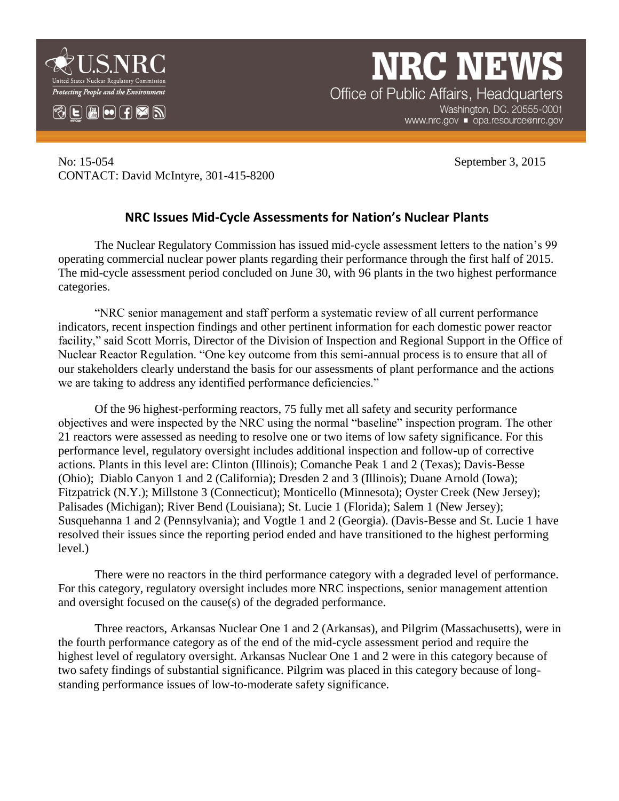

 $\circledR$   $\Box$   $\blacksquare$   $\odot$   $\Box$   $\heartsuit$   $\boxdot$ 

**NRC NEW** Office of Public Affairs, Headquarters Washington, DC. 20555-0001

www.nrc.gov ■ opa.resource@nrc.gov

No: 15-054 September 3, 2015 CONTACT: David McIntyre, 301-415-8200

## **NRC Issues Mid-Cycle Assessments for Nation's Nuclear Plants**

The Nuclear Regulatory Commission has issued mid-cycle assessment letters to the nation's 99 operating commercial nuclear power plants regarding their performance through the first half of 2015. The mid-cycle assessment period concluded on June 30, with 96 plants in the two highest performance categories.

"NRC senior management and staff perform a systematic review of all current performance indicators, recent inspection findings and other pertinent information for each domestic power reactor facility," said Scott Morris, Director of the Division of Inspection and Regional Support in the Office of Nuclear Reactor Regulation. "One key outcome from this semi-annual process is to ensure that all of our stakeholders clearly understand the basis for our assessments of plant performance and the actions we are taking to address any identified performance deficiencies."

Of the 96 highest-performing reactors, 75 fully met all safety and security performance objectives and were inspected by the NRC using the normal "baseline" inspection program. The other 21 reactors were assessed as needing to resolve one or two items of low safety significance. For this performance level, regulatory oversight includes additional inspection and follow-up of corrective actions. Plants in this level are: Clinton (Illinois); Comanche Peak 1 and 2 (Texas); Davis-Besse (Ohio); Diablo Canyon 1 and 2 (California); Dresden 2 and 3 (Illinois); Duane Arnold (Iowa); Fitzpatrick (N.Y.); Millstone 3 (Connecticut); Monticello (Minnesota); Oyster Creek (New Jersey); Palisades (Michigan); River Bend (Louisiana); St. Lucie 1 (Florida); Salem 1 (New Jersey); Susquehanna 1 and 2 (Pennsylvania); and Vogtle 1 and 2 (Georgia). (Davis-Besse and St. Lucie 1 have resolved their issues since the reporting period ended and have transitioned to the highest performing level.)

There were no reactors in the third performance category with a degraded level of performance. For this category, regulatory oversight includes more NRC inspections, senior management attention and oversight focused on the cause(s) of the degraded performance.

Three reactors, Arkansas Nuclear One 1 and 2 (Arkansas), and Pilgrim (Massachusetts), were in the fourth performance category as of the end of the mid-cycle assessment period and require the highest level of regulatory oversight. Arkansas Nuclear One 1 and 2 were in this category because of two safety findings of substantial significance. Pilgrim was placed in this category because of longstanding performance issues of low-to-moderate safety significance.